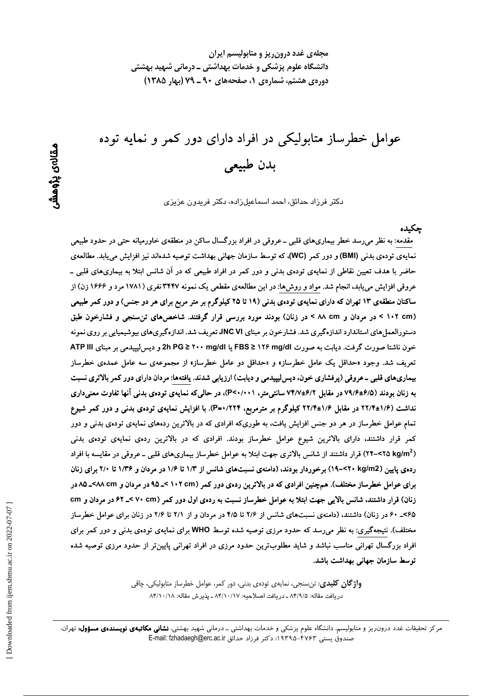مجلهی غدد درون ریز و متابولیسم ایران دانشگاه علوم پزشکی و خدمات بهداشتی ــ درمانی شهید بهشتی دوره ی هشتم، شماره ی ۱، صفحههای ۹۰ ـ ۷۹ (بهار ۱۳۸۵)

عوامل خطرساز متابولیکی در افراد دارای دور کمر و نمایه توده بدن طبيعي

دکتر فرزاد حدائق، احمد اسماعیلزاده، دکتر فریدون عزیزی

حكىدە

مقدمه: به نظر می٫رسد خطر بیماریهای قلبی ــ عروقی در افراد بزرگسال ساکن در منطقهی خاورمیانه حتی در حدود طبیعی نمایهی تودهی بدنی (BMI) و دور کمر (WC)، که توسط سازمان جهانی بهداشت توصیه شدهاند نیز افزایش مییابد. مطالعهی حاضر با هدف تعیین نقاطی از نمایهی تودهی بدنی و دور کمر در افراد طبیعی که در آن شانس ابتلا به بیماریهای قلبی ــ عروقی افزایش می یابد، انجام شد. مواد و روشها: در این مطالعهی مقطعی یک نمونه ۳۴۴۷ نفری (۱۷۸۱ مرد و ۱۶۶۶ زن) از ساکنان منطقهی ۱۳ تهران که دارای نمایهی تودهی بدنی (۱۹ تا ۲۵ کیلوگرم بر متر مربع برای هر دو جنس) و دور کمر طبیعی (۱۰۲ cm > در مردان و ۸۸ cm > در زنان) بودند مورد بررسی قرار گرفتند. شاخصهای تن سنجی و فشارخون طبق دستورالعمل های استاندارد اندازهگیری شد. فشارخون بر مبنای JNC VI تعریف شد. اندازهگیریهای بیوشیمیایی بر روی نمونه خون ناشتا صورت گرفت. دیابت به صورت M۶ mg/dl و FBS ≥ ۱۲۶ mg/dl یا PG ≥ ۲۰۰ mg/dl و دیس(یپیدمی بر مبنای ATP III تعریف شد. وجود «حداقل یک عامل خطرساز» و «حداقل دو عامل خطرساز» از مجموعهی سه عامل عمدهی خطرساز بیماریهای قلبی ـ عروقی (پرفشاری خون، دیس لیپیدمی و دیابت) ارزیابی شدند. یافتهها: مردان دارای دور کمر بالاتری نسبت به زنان بودند (۶/۵±۷۹/۶ در مقابل ۶/۲±۷۴/۷ سانتی متر، P<۰/۰۰۱)، در حالی که نمایهی تودهی بدنی آنها تفاوت معنی داری نداشت (۱/۶±۱۲/۴ در مقابل ۱/۶±۲۲/۴ کیلوگرم بر مترمربع، ۲۲۴/۰=P). با افزایش نمایهی تودهی بدنی و دور کمر شیوع تمام عوامل خطرساز در هر دو جنس افزایش یافت، به طوریکه افرادی که در بالاترین ردههای نمایهی تودهی بدنی و دور کمر قرار داشتند، دارای بالاترین شیوع عوامل خطرساز بودند. افرادی که در بالاترین ردهی نمایهی تودهی بدنی (۲۵ ۲۵>–۲۴) قرار داشتند از شانس بالاتری جهت ابتلا به عوامل خطرساز بیماریهای قلبی ــ عروقی در مقایسه با افراد رده ی پایین (۲۰ kg/m2) برخوردار بودند، (دامنهی نسبتهای شانس از ۱/۳ تا ۱/۶ در مردان و ۱/۳۶ تا ۲/۰ برای زنان برای عوامل خطرساز مختلف). همچنین افرادی که در بالاترین ردهی دور کمر (۱۰۲ ×۱۰ >\_۹۵ در مردان و ۸۵ ×۸۸-۸۵ در زنان) قرار داشتند، شانس بالایی جهت ابتلا به عوامل خطرساز نسبت به ردهی اول دور کمر (۷۰ cm کـ ۶۲ در مردان و cm ۶۵>\_ ۶۰ در زنان) داشتند، (دامنهی نسبتهای شانس از ۲/۶ تا ۴/۵ در مردان و از ۲/۱ تا ۲/۶ در زنان برای عوامل خطرساز مختلف). نتیجهگیری: به نظر می رسد که حدود مرزی توصیه شده توسط WHO برای نمایهی تودهی بدنی و دور کمر برای افراد بزرگسال تهرانی مناسب نباشد و شاید مطلوبترین حدود مرزی در افراد تهرانی پایینiتر از حدود مرزی توصیه شده توسط سازمان جهانی بهداشت باشد.

> **واژ گان کلیدی**: تن سنجی، نمایەی تودەی بدنی، دور کمر، عوامل خطرساز متابولیکی، چاقی دريافت مقاله: ٨٣/٩/٥ ـ دريافت اصلاحيه: ٨٣/١٠/١٧ ـ يذيرش مقاله: ٨٣/١٠/١٨

مرکز تحقیقات غدد درون ریز و متابولیسم، دانشگاه علوم پزشکی و خدمات بهداشتی ـ درمانی شهید بهشتی، **نشانی مکاتبهی نویسندهی مسؤول:** تهران، صندوق يستى ۴۷۶۳–۱۹۳۹۵؛ دكتر فرزاد حدائق E-mail: fzhadaegh@erc.ac.ir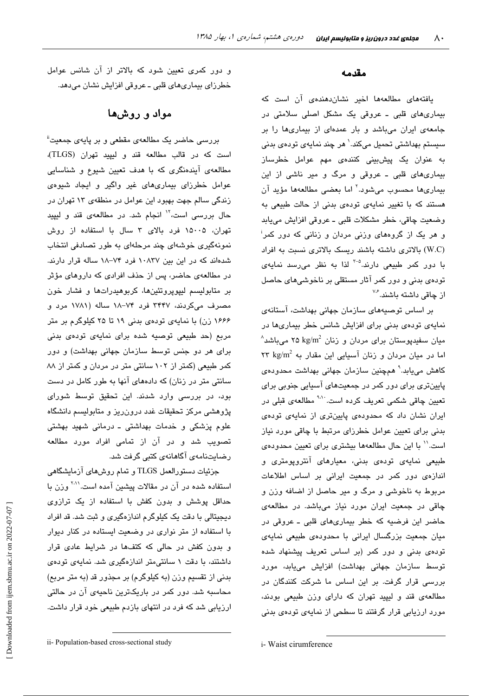#### مقدمه

یافتههای مطالعهها اخیر نشاندهندهی آن است که بیماریهای قلبی ـ عروقی یک مشکل اصلی سلامتی در جامعهی ایران میباشد و بار عمدهای از بیماریها را بر سیستم بهداشتی تحمیل میکند.<sup>\</sup> هر چند نمایهی تودهی بدنی به عنوان یک پیشبینی کنندهی مهم عوامل خطرساز بیماریهای قلبی ـ عروقی و مرگ و میر ناشی از این بیماریها محسوب میشود.<sup>۲</sup> اما بعضی مطالعهها مؤید آن هستند که با تغییر نمایهی تودهی بدنی از حالت طبیعی به وضعيت چاقي، خطر مشكلات قلبي ــ عروقي افزايش مييابد و هر یک از گروههای وزنی مردان و زنانی که دور کمر<sup>:</sup> (W.C) بالاتری داشته باشند ریسک بالاتری نسبت به افراد با دور کمر طبیعی دارند.<sup>۵-۳</sup> لذا به نظر میرسد نمایهی توده ی بدنی و دور کمر آثار مستقلی بر ناخوشی های حاصل از چاقی داشته پاشند.<sup>۷٫۶</sup>

بر اساس توصیههای سازمان جهانی بهداشت، آستانهی نمایهی تودهی بدنی برای افزایش شانس خطر بیماریها در  $^{\wedge}$ میان سفیدیوستان برای مردان و زنان kg/m $^2$  ۲۵ kg/m $^2$  میباشد اما در میان مردان و زنان آسیایی این مقدار به ۲۳ kg/m<sup>2</sup> کاهش میپابد.<sup>۹</sup> همچنین سازمان جهانی بهداشت محدودهی پایینتری برای دور کمر در جمعیتهای آسیایی جنوبی برای تعیین چاقی شکمی تعریف کرده است<sup>۷۰۱</sup>۰ مطالعهی قبلی در ایران نشان داد که محدودهی پایینتری از نمایهی تودهی بدنی برای تعیین عوامل خطرزای مرتبط با چاقی مورد نیاز است.'' با این حال مطالعهها بیشتری برای تعیین محدودهی طبیعی نمایهی تودهی بدنی، معیارهای آنتروپومتری و اندازهی دور کمر در جمعیت ایرانی بر اساس اطلاعات مربوط به ناخوشی و مرگ و میر حاصل از اضافه وزن و چاقی در جمعیت ایران مورد نیاز میباشد. در مطالعهی حاضر این فرضیه که خطر بیماریهای قلبی ـ عروقی در میان جمعیت بزرگسال ایرانی با محدودهی طبیعی نمایهی تودهی بدنی و دور کمر (بر اساس تعریف پیشنهاد شده توسط سازمان جهانی بهداشت) افزایش میبابد، مورد بررسی قرار گرفت. بر این اساس ما شرکت کنندگان در مطالعهی قند و لیپید تهران که دارای وزن طبیعی بودند، مورد ارزیابی قرار گرفتند تا سطحی از نمایهی تودهی بدنی

و دور کمری تعیین شود که بالاتر از آن شانس عوامل خطرزای بیماریهای قلبی ـ عروقی افزایش نشان میدهد.

## مواد و روشها

بررسی حاضر یک مطالعهی مقطعی و بر پایهی جمعیت" است كه در قالب مطالعه قند و ليپيد تهران (TLGS)، مطالعهی آیندهنگری که با هدف تعیین شیوع و شناسایی عوامل خطرزای بیماریهای غیر واگیر و ایجاد شیوهی زندگی سالم جهت بهبود این عوامل در منطقهی ۱۳ تهران در حال بررسی است،<sup>۱۲</sup> انجام شد. در مطالعهی قند و لیپید تهران، ۱۵۰۰۵ فرد بالای ۳ سال با استفاده از روش نمونهگیری خوشهای چند مرحلهای به طور تصادفی انتخاب شدهاند که در این بین ۱۰۸۳۷ فرد ۷۴–۱۸ ساله قرار دارند. در مطالعهی حاضر، پس از حذف افرادی که داروهای مؤثر بر متابولیسم لیپویروتئینها، کربوهیدراتها و فشار خون مصرف میکردند، ۳۴۴۷ فرد ۷۴–۱۸ ساله (۱۷۸۱ مرد و ۱۶۶۶ زن) با نمایهی تودهی بدنی ۱۹ تا ۲۵ کیلوگرم بر متر مربع (حد طبیعی توصیه شده برای نمایهی تودهی بدنی برای هر دو جنس توسط سازمان جهانی بهداشت) و دور کمر طبیعی (کمتر از ۱۰۲ سانتی متر در مردان و کمتر از ۸۸ سانتی متر در زنان) که دادههای آنها به طور کامل در دست بود، در بررسی وارد شدند. این تحقیق توسط شورای پژوهشی مرکز تحقیقات غدد درونرریز و متابولیسم دانشگاه علوم پزشکی و خدمات بهداشتی ـ درمانی شهید بهشتی تصویب شد و در آن از تمامی افراد مورد مطالعه رضایتنامەی آگاھانەی كتبی گرفت شد.

جزئيات دستورالعمل TLGS و تمام روشهاي آزمايشگاهي استفاده شده در آن در مقالات پیشین آمده است.<sup>۲۰۱</sup> وزن با حداقل پوشش و بدون کفش با استفاده از یک ترازوی دیجیتالی با دقت یک کیلوگرم اندازهگیری و ثبت شد. قد افراد با استفاده از متر نواری در وضعیت ایستاده در کنار دیوار و بدون کفش در حالی که کتفها در شرایط عادی قرار داشتند، با دقت ۱ سانتی متر اندازهگیری شد. نمایهی تودهی بدنی از تقسیم وزن (به کیلوگرم) بر مجذور قد (به متر مربع) محاسبه شد. دور کمر در باریکترین ناحیهی آن در حالتی ارزیابی شد که فرد در انتهای بازدم طبیعی خود قرار داشت.

i- Waist cirumference

ii- Population-based cross-sectional study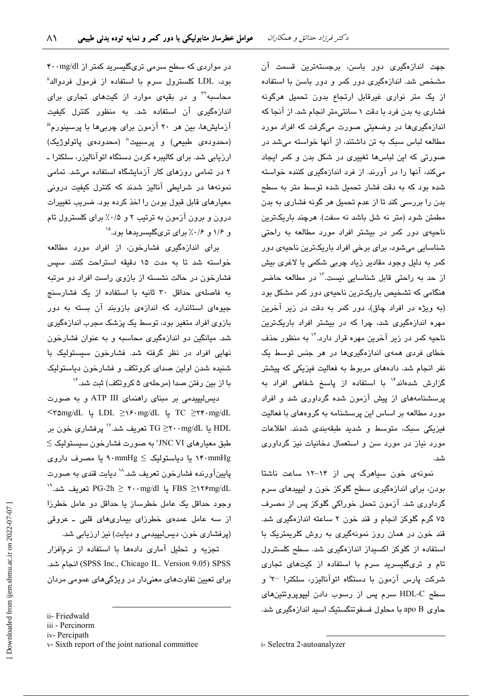جهت اندازهگیری دور باسن، برجستهترین قسمت آن مشخص شد. اندازهگیری دور کمر و دور باسن با استفاده از یک متر نواری غیرقابل ارتجاع بدون تحمیل هرگونه فشاری به بدن فرد با دقت ۱ سانتی متر انجام شد. از آنجا که اندازهگیریها در وضعیتی صورت میگرفت که افراد مورد مطالعه لباس سبک به تن داشتند، از آنها خواسته می شد در صورتی که این لباسها تغییری در شکل بدن و کمر ایجاد میکند، آنها را در آورند. از فرد اندازهگیری کننده خواسته شده بود که به دقت فشار تحمیل شده توسط متر به سطح بدن را بررسی کند تا از عدم تحمیل هر گونه فشاری به بدن مطمئن شود (متر نه شل باشد نه سفت). هرچند باریکترین ناحیهی دور کمر در بیشتر افراد مورد مطالعه به راحتی شناسایی میشود، برای برخی افراد باریکترین ناحیهی دور کمر به دلیل وجود مقادیر زیاد چربی شکمی یا لاغری بیش از حد به راحتی قابل شناسایی نست.<sup>۱۲</sup> در مطالعه حاضر هنگامی که تشخیص باریکترین ناحیهی دور کمر مشکل بود (به ویژه در افراد چاق)، دور کمر به دقت در زیر آخرین مهره اندازهگیری شد، چرا که در پیشتر افراد پاریکترین ناحیه کمر در زیر آخرین مهره قرار دارد.<sup>۱۲</sup> به منظور حذف خطای فردی همهی اندازهگیریها در هر جنس توسط یک نفر انجام شد. دادههای مربوط به فعالیت فیزیکی که پیشتر گزارش شدهاند<sup>۱۴</sup> با استفاده از پاسخ شفاهی افراد به پرسشنامههای از پیش آزمون شده گرداوری شد و افراد مورد مطالعه بر اساس این پرسشنامه به گروههای با فعالیت فیزیکی سبک، متوسط و شدید طبقهبندی شدند. اطلاعات مورد نیاز در مورد سن و استعمال دخانیات نیز گرداوری شد.

نمونهی خون سیاهرگ پس از ۱۴-۱۲ ساعت ناشتا بودن، برای اندازهگیری سطح گلوکز خون و لیپیدهای سرم گرداوری شد. آزمون تحمل خوراکی گلوکز پس از مصرف ۷۵ گرم گلوکز انجام و قند خون ۲ ساعته اندازهگیری شد. قند خون در همان روز نمونهگیری به روش کلریمتریک با استفاده از گلوکز اکسیداز اندازهگیری شد. سطح کلسترول تام و تریگلیسرید سرم با استفاده از کیتهای تجاری شرکت پارس آزمون با دستگاه اتوآنالیزر، سلکترا <sup>–۲</sup>۲ و سطح HDL-C سرم پس از رسوب دادن لیپویروتئینهای حاوي apo B با محلول فسفوتنگستيک اسيد اندازهگيري شد.

در مواردی که سطح سرمی تریگلیسرید کمتر از ۴۰۰mg/dl بود، LDL کلسترول سرم با استفاده از فرمول فردوالد" محاسبه<sup>۳</sup>۰ و در بقیهی موارد از کیتهای تجاری برای اندازهگیری آن استفاده شد. به منظور کنترل کیفیت آزمایشها، بین هر ۲۰ آزمون برای چربیها با پرسینورم" (محدوده عطبیعی) و پرسیپت" (محدوده ی یاتولوژیک) ارزیابی شد. برای کالیبره کردن دستگاه اتوآنالیزر، سلکترا ـ ۲ در تمامی روزهای کار آزمایشگاه استفاده میشد. تمامی نمونهها در شرایطی آنالیز شدند که کنترل کیفیت درونی معیارهای قابل قبول بودن را اخذ کرده بود. ضریب تغییرات درون و برون آزمون به ترتیب ۲ و ۰/۵٪ برای کلسترول تام و ۱/۶ و ۰/۶٪ برای تریگلیسریدها بود.<sup>۱۵</sup>

برای اندازهگیری فشارخون، از افراد مورد مطالعه خواسته شد تا به مدت ١۵ دقیقه استراحت کنند. سپس فشارخون در حالت نشسته از بازوی راست افراد دو مرتبه به فاصلهی حداقل ۳۰ ثانیه با استفاده از یک فشارسنج جیوهای استاندارد که اندازهی بازوبند آن بسته به دور بازوی افراد متغیر بود، توسط یک پزشک مجرب اندازهگیری شد. میانگین دو اندازهگیری محاسبه و به عنوان فشارخون نهایی افراد در نظر گرفته شد. فشارخون سیستولیک با شنده شدن اولین صدای کروتکف و فشارخون دیاستولیک با از بین رفتن صدا (مرحلهی ۵ کروتکف) ثبت شد. $^\vee$ 

دیس لیپیدمی بر مبنای راهنمای ATP III و به صورت TC ≥۲۴۰mg/dL ل LDL ≥۱۶۰mg/dL ل TC ≥۲۴۰mg/dL یا TG  $\geq$ ۲۰۰mg/dL یا TG تعریف شد. " پرفشاری خون بر  $\le$  طبق معیارهای VNC VI به صورت فشارخون سیستولیک ۱۴۰mmHg یا دیاستولیک کے ۹۰mmHg یا مصرف داروی پایینآورنده فشارخون تعریف شد.^` دیابت قندی به صورت FBS ≥۱۲۶mg/dL یا PG-2h ≥ ۲۰۰mg/dl تعریف شد.<sup>۱۹</sup> وجود حداقل یک عامل خطرساز یا حداقل دو عامل خطرزا از سه عامل عمدهی خطرزای بیماریهای قلبی ـ عروقی (پرفشاری خون، دیسلیپیدمی و دیابت) نیز ارزیابی شد.

تجزیه و تحلیل آماری دادهها با استفاده از نرمافزار (SPSS Inc., Chicago IL. Version 9.05) SPSS انجام شد. برای تعیین تفاوتهای معنیدار در ویژگیهای عمومی مردان

ii- Friedwald

iii - Percinorm

iv-Percipath

v-Sixth report of the joint national committee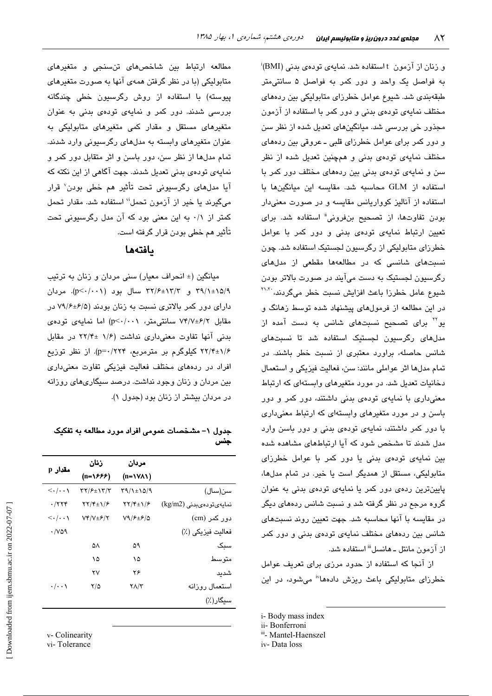و زنان از آزمون t استفاده شد. نمایهی تودهی بدنی (BMI)َ به فواصل یک واحد و دور کمر به فواصل ۵ سانتی متر طبقهبندی شد. شیوع عوامل خطرزای متابولیکی بین ردههای مختلف نمایهی تودهی بدنی و دور کمر با استفاده از آزمون مجذور خی بررسی شد. میانگینهای تعدیل شده از نظر سن و دور کمر برای عوامل خطرزای قلبی ـ عروقی بین ردههای مختلف نمایهی تودهی بدنی و همچنین تعدیل شده از نظر سن و نمایهی تودهی بدنی بین ردههای مختلف دور کمر با استفاده از GLM محاسبه شد. مقايسه اين ميانگينها با استفاده از آنالیز کوواریانس مقایسه و در صورت معنیدار بودن تفاوتها، از تصحیح بنفرونی<sup>ة</sup> استفاده شد. برای تعیین ارتباط نمایهی تودهی بدنی و دور کمر با عوامل خطرزای متابولیکی از رگرسیون لجستیک استفاده شد. چون نسبتهای شانسی که در مطالعهها مقطعی از مدلهای رگرستون لجستنک به دست میآیند در صورت بالاتر بودن شیوع عامل خطرزا باعث افزایش نسبت خطر میگردند، \*``` در این مطالعه از فرمولهای پیشنهاد شده توسط زهانگ و بو<sup>۲۲</sup> برای تصحیح نسبتهای شانس به دست آمده از مدلهای رگرسیون لجستیک استفاده شد تا نسبتهای شانس حاصله، براورد معتبری از نسبت خطر باشند. در تمام مدلها اثر عواملي مانند: سن، فعالیت فیزیکی و استعمال دخانیات تعدیل شد. در مورد متغیرهای وابستهای که ارتباط معنیداری با نمایهی تودهی بدنی داشتند، دور کمر و دور باسن و در مورد متغیرهای وابستهای که ارتباط معنیداری با دور کمر داشتند، نمایهی تودهی بدنی و دور باسن وارد مدل شدند تا مشخص شود که آیا ارتباطهای مشاهده شده بین نمایهی تودهی بدنی یا دور کمر با عوامل خطرزای متابولیکی، مستقل از همدیگر است یا خیر. در تمام مدلها، پایینترین ردهی دور کمر یا نمایهی تودهی بدنی به عنوان گروه مرجع در نظر گرفته شد و نسبت شانس ردههای دیگر در مقایسه با آنها محاسبه شد. جهت تعیین روند نسبتهای شانس بین ردههای مختلف نمایهی تودهی بدنی و دور کمر از آزمون مانتل ـ هانسل<sup>ااا</sup> استفاده شد.

از آنجا که استفاده از حدود مرزی برای تعریف عوامل خطرزای متابولیکی باعث ریزش دادهها<sup>lv</sup> میشود، در این

- i-Body mass index
- ii- Bonferroni
- iii- Mantel-Haenszel
- iv-Data loss

مطالعه ارتباط بین شاخصهای تنسنجی و متغیرهای متابولیکی (با در نظر گرفتن همهی آنها به صورت متغیرهای پیوسته) با استفاده از روش رگرسیون خطی چن*د*گانه بررسی شدند. دور کمر و نمایهی تودهی بدنی به عنوان متغیرهای مستقل و مقدار کمی متغیرهای متابولیکی به عنوان متغیرهای وابسته به مدلهای رگرسیونی وارد شدند. تمام مدلها از نظر سن، دور باسن و اثر متقابل دور کمر و نمایهی تودهی بدنی تعدیل شدند. جهت آگاهی از این نکته که آيا مدلهای رگرسيونی تحت تأثير هم خطی بودن<sup>٬</sup> قرار میگیرند یا خیر از آزمون تحمل<sup>ن</sup> استفاده شد. مقدار تحمل کمتر از ۰/۱ به این معنی بود که آن مدل رگرسیونی تحت تأثیر هم خطی بودن قرار گرفته است.

### بافتهها

میانگین (± انحراف معیار) سنی مردان و زنان به ترتیب ۳۹/۱±۱۵/۹ و ۳۲/۶±۱۳/۳ سال بود (p<۰/۰۰۱). مردان دارای دور کمر بالاتری نسبت به زنان بودند (۶/۵±۷۹/۶ در مقابل ۷۴/۷±۶/۲ سانتی متر، p<۰/۰۰۱) اما نمایهی تودهی بدنی آنها تفاوت معنیداری نداشت (۱/۶ ±۲۲/۴ در مقابل ۲۲/۴±۱/۶ کیلوگرم بر مترمربع، p=۰/۲۲۴). از نظر توزیع افراد در ردههای مختلف فعالیت فیزیکی تفاوت معنیداری بین مردان و زنان وجود نداشت. درصد سیگاریهای روزانه در مردان بیشتر از زنان بود (جدول ۱).

#### جدول ۱– مشخصات عمومی افراد مورد مطالعه به تفکیک جنس

| مقدار p                               | زنان                                                        | مردان                                           |                         |
|---------------------------------------|-------------------------------------------------------------|-------------------------------------------------|-------------------------|
|                                       | (n=\۶۶۶)                                                    | $(n=\forall\forall\lambda)$                     |                         |
| $\left\langle \ldots \right\rangle$   | 37/۶±۱۳/۳                                                   | 39/1±15/9                                       | سن(سال)                 |
| $\cdot$ /۲۲۴                          | $\Upsilon \Upsilon / \Upsilon_{\pm} \Upsilon / \varepsilon$ | $\Upsilon \Upsilon / \Upsilon \pm \Upsilon / 8$ | نمايەيتودەيبدنى (kg/m2) |
| $\langle \cdot   \cdot \cdot \rangle$ | $Vf/V \pm f/\tau$                                           | V9/FE/2                                         | دور کمر (cm)            |
| $\cdot$ /vaq                          |                                                             |                                                 | فعاليت فيزيكي (٪)       |
|                                       | ۵٨                                                          | ۵۹                                              | سبک                     |
|                                       | ۱۵                                                          | ۱۵                                              | متو سط                  |
|                                       | ۲ν                                                          | ۲۶                                              | شديد                    |
| $\cdot/\cdot\cdot$                    | ۲/۵                                                         | ۲۸/۳                                            | استعمال روزانه          |
|                                       |                                                             |                                                 | سیگار(٪)                |

v- Colinearity

vi-Tolerance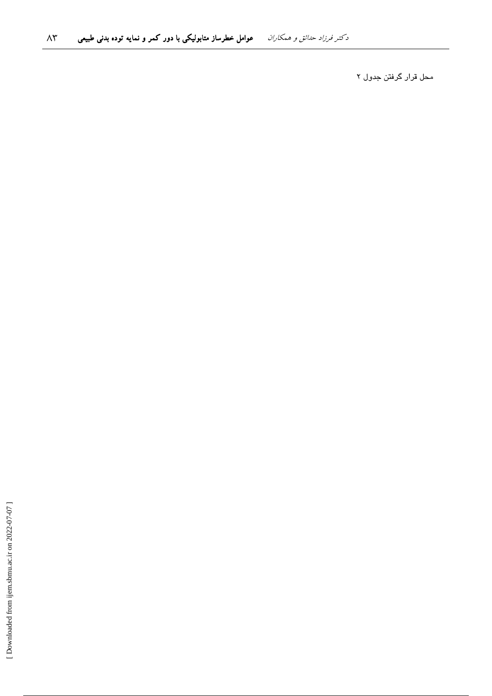محل قرار گرفتن جدول ۲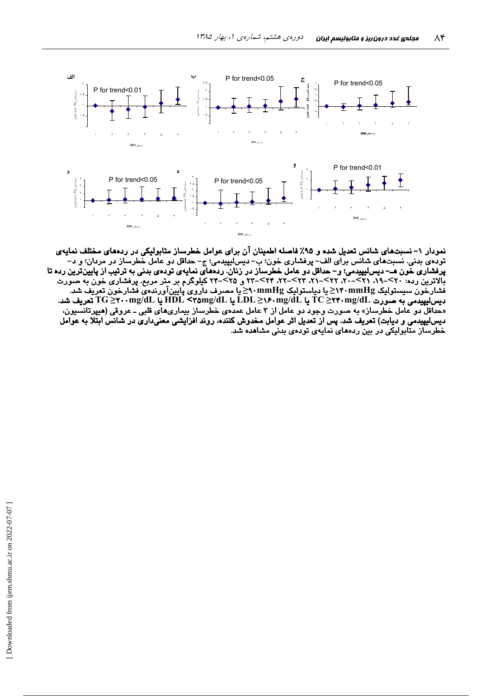

نمودار ۱– نسبتهای شانس تعدیل شده و ۹۵٪ فاصله اطمینان آن برای عوامل خطرساز متابولیکی در ردههای مختلف نمایهی تودهي بدني. نسبتهاي شانس براي الف– پرفشاري خون؛ ب– ديسليپيدمي؛ ج– حداقل دو عامل خطرساز در مردان؛ و د– .<br>پرفشاری خون هـــ دیسالیپیدمی؛ و– حداقل دو عامل خطرساز در زنان. ردههای نمایهی تودهی بدنی به ترتیب از پایین ترین رده تا<br>بالاترین رده: ۲۰>–۱۹، ۲۱>–۲۰، ۲۲>–۲۰، ۲۳>–۲۲، ۲۴>–۲۳ و ۲۵>–۲۴ کیلوگرم بر متر مربع. پرفشاری خون به صور با سور سر بربان پوستولیک Minig در ایستولیک mmHgکا دیاستولیک A۰mmHgکا مصدف داروی پایین آورندهی فشارخون تعریف شد<br>فشارخون سیستولیک TC ≥۲۴۰mg/dL یا LDL ≥۱۶۰mg/dL یا HDL <۲۵mg/dL یا HDL <۲۵mg/dL یا Comg/dL یا HDL <۲۵mg/dL یا دیس لیپیدمی و دیابت) تعریف شد. پس از تعدیل اثر عوامل مخدوش کننده، روند افزایشی معنیداری در شانس ابتلا به عوامل خطرساز متابولیکی در بین ردههای نمایهی تودهی بدنی مشاهده شد.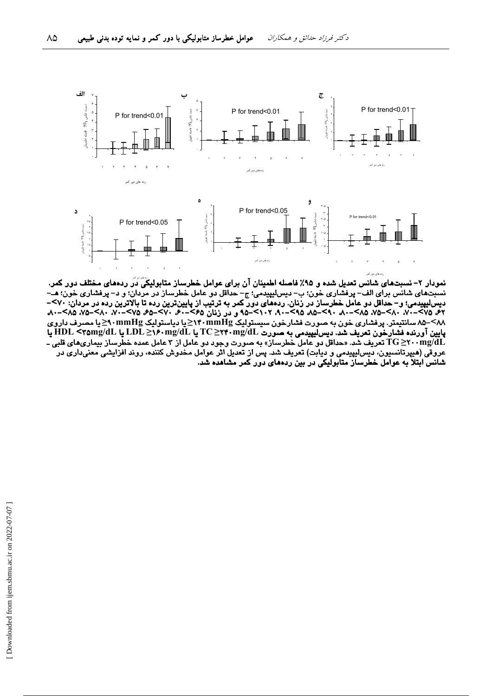

نمودار ۲– نسبتهای شانس تعدیل شده و ۹۵٪ فاصله اطمینان آن برای عوامل خطرساز متابولیکی دَر ردههای مختلف دور کمر. نسبتهای شانس برای الف– پرفشاری خون؛ ب– دیسلیپیدمی؛ ج– حداقل دو عامل خطرساز در مردان؛ و د– پرفشاری خون؛ هــّ– دیس لیپیدمی؛ و – حداقل دو عامل خطرساز در زنان. ردههای دور کمر به ترتیب از پایین ترین رده تا بالاترین رده در مردان: ۷۰>–<br>۶۲، ۲۵–۷۰، ۸۰–۷۵، ۸۵–۸۰، ۹۸–۸۵، ۵۸–۸۵، ۵۸–۹۰، ۶۱۲–۹۵، و در زنان ۶۵–۶۰، ۷۰–۶۵، ۶۵–۷۰، ۲۰–۸۰، ۲۸–۷۵، ۲۵ ۸۸>–۸۵ سانتیمتر. پرفشاری خون به صورت فشارخون سیستولیک M۰mmHg≤یا دیاستولیک M۰mmHg≤یا مصرف داروی پایین آورنده فشارخون تعریف شد. دیس لیپیدمی به صورت TC≥۲۴۰mg/dL یا LDĽ یا LDĽ یا LDĽ یا HDL <۳۵mg/dL یا تعریف شد. «حداقل دو عامل خطرساز» به صورت وجود دو عامل از ۳ عامل عمده خطرساز بیماریهای قلبی ـ T $\rm G$ خرب تابی ـ ـ T $\rm G$ عروقی (هیپرتانسیون، دیسلیپیدمی و دیابت) تعریف شد. پس از تعدیل اثر عوامل مخدوش کننده، روند افزایشی معنیداری در شانس ابتلا به عوامل خطرساز متابولیکی در بین ردههای دور کمر مشاهده شد.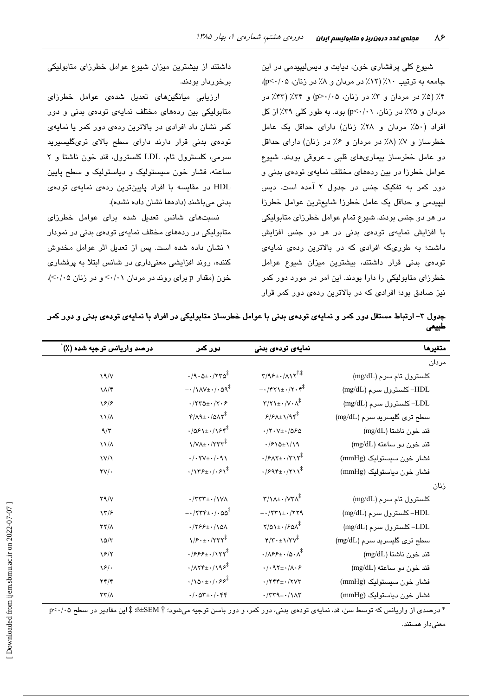شیوع کلی پرفشاری خون، دیابت و دیسلیپیدمی در این جامعه به ترتیب ١٠٪ (١٢٪ در مردان و ٨٪ در زنان، p<٠/٠٥)، ۴٪ (۵٪ در مردان و ۳٪ در زنان، ۵٪/۰/ p>۰) و ۳۴٪ (۴۳٪ در مردان و ۲۵٪ در زنان، p<۰/۰۱) بود. به طور کلی ۳۹٪ از کل افراد (۵۰٪ مردان و ۲۸٪ زنان) دارای حداقل یک عامل خطرساز و ٧٪ (٨٪ در مردان و ۶٪ در زنان) دارای حداقل دو عامل خطرساز بیماریهای قلبی ـ عروقی بودند. شیوع عوامل خطرزا در بین ردههای مختلف نمایهی تودهی بدنی و دور کمر به تفکیک جنس در جدول ۲ آمده است. دیس لیپیدمی و حداقل یک عامل خطرزا شایعترین عوامل خطرزا در هر دو جنس بودند. شیوع تمام عوامل خطرزای متابولیکی با افزایش نمایهی تودهی بدنی در هر دو جنس افزایش داشت؛ به طوریکه افرادی که در بالاترین ردهی نمایهی تودهی بدنی قرار داشتند، بیشترین میزان شیوع عوامل خطرزای متابولیکی را دارا بودند. این امر در مورد دور کمر نیز صادق بود؛ افرادی که در بالاترین ردهی دور کمر قرار

داشتند از بیشترین میزان شیوع عوامل خطرزای متابولیکی برخوردار بودند.

ارزیابی میانگینهای تعدیل شدهی عوامل خطرزای متابولیکی بین ردههای مختلف نمایهی تودهی بدنی و دور کمر نشان داد افرادی در بالاترین ردهی دور کمر یا نمایهی تودەی بدنی قرار دارند دارای سطح بالای تریگلیسیرید سرمی، کلسترول تام، LDL کلسترول، قند خون ناشتا و ۲ ساعته، فشار خون سیستولیک و دیاستولیک و سطح پایین HDL در مقایسه با افراد پایینترین ردهی نمایهی تودهی بدنی میباشند (دادهها نشان داده نشده).

نسبتهای شانس تعدیل شده برای عوامل خطرزای متابولیکی در ردههای مختلف نمایهی تودهی بدنی در نمودار ١ نشان داده شده است. پس از تعدیل اثر عوامل مخدوش کننده، روند افزایشی معنیداری در شانس ابتلا به پرفشاری خون (مقدار p برای روند در مردان ۰/۰۱> و در زنان ۰/۰۵)،

| درصد واريانس توجيه شده (٪) | دور کمر                                                                  | نمایەی تودەی بدنی                                                                                 | متغيرها                     |
|----------------------------|--------------------------------------------------------------------------|---------------------------------------------------------------------------------------------------|-----------------------------|
|                            |                                                                          |                                                                                                   | مردان                       |
| 19/V                       | $\cdot$ /9 $\cdot$ $\Delta \pm \cdot$ /۲۳ $\Delta^{\ddagger}$            | $\Upsilon/9$ ۶± $\cdot/\Lambda$ $\Upsilon^{\dagger\ddagger}$                                      | كلسترول تام سرم (mg/dL)     |
| $\lambda/\tau$             | $-\cdot/\lambda V \pm \cdot/\cdot \Delta Q^{\ddagger}$                   | $-\cdot$ /۴۲۱ $\pm \cdot$ /۲۰۴ $\ddagger$                                                         | HDL- کلسترول سرم (mg/dL)    |
| $\sqrt{2}$                 | $\cdot$ /۲۳۵ $\pm$ $\cdot$ /۲۰۶                                          | $\Upsilon/\Upsilon$ = $\cdot$ / $V \cdot \Lambda^{\ddagger}$                                      | LDL- كلسترول سرم (mg/dL)    |
| $\frac{1}{\Lambda}$        | $Y/\Lambda$ 9 $\pm$ $\cdot$ /0 $\Lambda$ $Y^{\ddagger}$                  | $P/P(\Lambda_{\pm})/9$ ۴                                                                          | سطح تری گلیسرید سرم (mg/dL) |
| 9/5                        | $.7051 \pm .7154^{\ddagger}$                                             | $\cdot$ /۲۰۷± $\cdot$ /۵۶۵                                                                        | قند خون ناشتا (mg/dL)       |
| $\frac{1}{4}$              | $\frac{1}{\sqrt{V\lambda \pm \cdot \frac{1}{\lambda \cdot \lambda}}}$    | $.7810 \pm 1/19$                                                                                  | قند خون دو ساعته (mg/dL)    |
| $\frac{1}{\sqrt{2}}$       | $\cdot/\cdot$ TV $\pm \cdot/\cdot$ 9)                                    | $\cdot$ / $\gamma$ $\lambda$ Y $\pm$ $\cdot$ / $\gamma$ $\gamma$ <sup><math>\ddagger</math></sup> | فشار خون سیستولیک (mmHg)    |
| $\forall V/\cdot$          | $\cdot/\gamma$ ۳۶ $\pm$ $\cdot/\cdot$ ۶ $\gamma^{\frac{1}{4}}$           | $\cdot$ / $995\pm\cdot$ / $511$                                                                   | فشار خون دياستوليک (mmHg)   |
|                            |                                                                          |                                                                                                   | زنان                        |
| Y9/Y                       | $\cdot$ /٣٣٣ $\pm$ $\cdot$ /١٧٨                                          | $\Upsilon/\Upsilon + \cdots/\Upsilon\Upsilon\Lambda^{\ddagger}$                                   | كلسترول تام سرم (mg/dL)     |
| $\frac{17}{5}$             | $-1755 + 1.00^{\frac{1}{4}}$                                             | $-\cdot$ /۲۳۱± $\cdot$ /۲۲۹                                                                       | HDL- کلسترول سرم (mg/dL)    |
| YY/A                       | $\cdot$ /۲۶۶ $\pm$ $\cdot$ /۱۵۸                                          | $Y/\Delta$ $\rightarrow$ / $\Sigma$ $\Delta$ $\lambda^{\frac{1}{4}}$                              | LDL- كلسترول سرم (mg/dL)    |
| $10/\tau$                  | $\sqrt{5 \cdot 1}$ $\sqrt{775}$                                          | $\mathbf{Y}/\mathbf{Y}\cdot\pm\mathbf{1}/\mathbf{Y}\mathbf{V}^{\ddagger}$                         | سطح ترى گليسريد سرم (mg/dL) |
| $\sqrt{2}$                 | $.7555 \pm .7177^*$                                                      | $\cdot/\lambda$ ۶۶ $\pm$ $\cdot/\Delta \cdot \Lambda^{\ddagger}$                                  | قند خون ناشتا (mg/dL)       |
| $\sqrt{2}$ .               | $\cdot$ / $\wedge$ ۲۴ $\pm$ $\cdot$ /۱۹ $\mathcal{F}^{\ddagger}$         | $\cdot$ / $\cdot$ 97 $\pm$ $\cdot$ / $\wedge$ $\cdot$ ۶                                           | قند خون دو ساعته (mg/dL)    |
| $Yf/\mathcal{F}$           | $\cdot/\sqrt{2\cdot\pm\cdot/\cdot9\cdot^{\ddagger}}$                     | $\cdot$ /٢۴۴ $\pm$ $\cdot$ /٢٧٣                                                                   | فشار خون سيستوليک (mmHg)    |
| $\tau\tau/\Lambda$         | $\cdot/\cdot$ $\circ$ $\tau$ + $\cdot$ / $\cdot$ $\cdot$ $\cdot$ $\cdot$ | $\cdot$ /٣٣٩ $\pm$ $\cdot$ / 1 $\wedge$ ٣                                                         | فشار خون دياستوليک (mmHg)   |

جدول ۳– ارتباط مستقل دور کمر و نمایهی تودهی بدنی با عوامل خطرساز متابولیکی در افراد با نمایهی تودهی بدنی و دور کمر طبيعى

\* درصدی از واریانس که توسط سن، قد، نمایهی تودهی بدنی، دور کمر، و دور باسن توجیه میشود؛ # SEM±& ‡ این مقادیر در سطح ۰/۰۵<r معنی،دار هستند.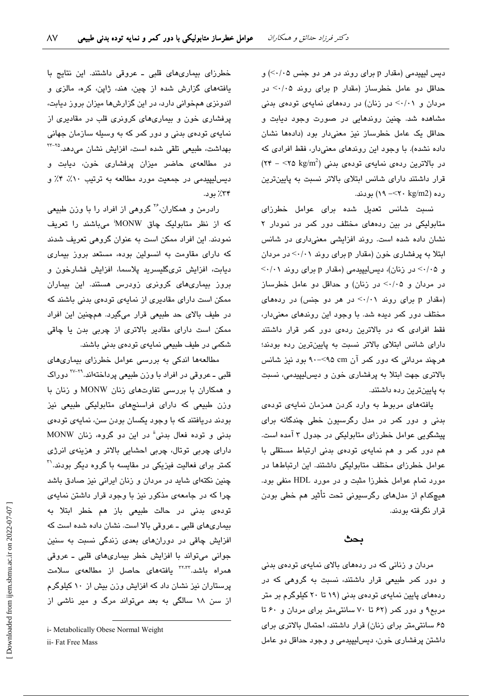دیس لیپیدمی (مقدار p برای روند در هر دو جنس ۰۵/۰/) و حداقل دو عامل خطرساز (مقدار p برای روند ۰/۰۵ در مردان و ۰/۰۱> در زنان) در ردههای نمایهی تودهی بدنی مشاهده شد. چنین روندهایی در صورت وجود دیابت و حداقل یک عامل خطرساز نیز معنیدار بود (دادهها نشان داده نشده). با وجود این روندهای معنیدار، فقط افرادی که  $(5.5 - 10^{-16})$ در بالاترین ردهی نمایهی تودهی بدنی ( $\sim 10^{-2}$  kg/m<sup>2</sup> قرار داشتند دارای شانس ابتلای بالاتر نسبت به پایینترین رده (12×/۲۰×>- ۱۹) بودند.

نسبت شانس تعدیل شده برای عوامل خطرزای متابولیکی در بین ردههای مختلف دور کمر در نمودار ۲ نشان داده شده است. روند افزایشی معنیداری در شانس ابتلا به پرفشاری خون (مقدار p برای روند ۰/۰۱> در مردان و ۰/۰۵> در زنان)، دیس لیپیدمی (مقدار p برای روند ۰/۰۱> در مردان و ٠/٠٥> در زنان) و حداقل دو عامل خطرساز (مقدار p برای روند ۰/۰۱> در هر دو جنس) در ردههای مختلف دور کمر دیده شد. با وجود این روندهای معنیدار، فقط افرادی که در بالاترین ردهی دور کمر قرار داشتند دارای شانس ابتلای بالاتر نسبت به پایینترین رده بودند؛ هرچند مردانی که دور کمر آن cm؟>-٩٠ بود نیز شانس بالاتری جهت ابتلا به پرفشاری خون و دیس لیپیدمی، نسبت به پایینترین رده داشتند.

یافتههای مربوط به وارد کردن همزمان نمایهی تودهی بدنی و دور کمر در مدل رگرسیون خطی چندگانه برای پیشگویی عوامل خطرزای متابولیکی در جدول ۳ آمده است. هم دور کمر و هم نمایهی تودهی بدنی ارتباط مستقلی با عوامل خطرزای مختلف متابولیکی داشتند. این ارتباطها در مورد تمام عوامل خطرزا مثبت و در مورد HDL منفی بود. هیچکدام از مدلهای رگرسیونی تحت تأثیر هم خطی بودن قرار نگرفته بودند.

#### ىحٹ

مردان و زنانی که در ردههای بالای نمایهی تودهی بدنی و دور کمر طبیعی قرار داشتند، نسبت به گروهی که در ردههای پایین نمایهی تودهی بدنی (۱۹ تا ۲۰ کیلوگرم بر متر مربع۹ و دور کمر (۶۲ تا ۷۰ سانتی متر برای مردان و ۶۰ تا ۶۵ سانتی متر برای زنان) قرار داشتند، احتمال بالاتری برای داشتن پرفشاری خون، دیسلیپیدمی و وجود حداقل دو عامل

خطرزای بیماریهای قلبی ـ عروقی داشتند. این نتایج با یافتههای گزارش شده از چین، هند، ژاپن، کره، مالزی و اندونزی همخوانی دارد، در این گزارشها میزان بروز دیابت، پرفشاری خون و بیماریهای کرونری قلب در مقادیری از نمایهی تودهی بدنی و دور کمر که به وسیله سازمان جهانی بهداشت، طبیعی تلقی شده است، افزایش نشان می دهد.<sup>۲۵–۲۲</sup> در مطالعهی حاضر میزان پرفشاری خون، دیابت و ديس ليپيدمي در جمعيت مورد مطالعه به ترتيب ٠١٪، ۴٪ و ۳۴٪ يون.

رادرمن و همکاران، ٔ٬ گروهی از افراد را با وزن طبیعی که از نظر متابولیک چاق MONW میباشند را تعریف نمودند. این افراد ممکن است به عنوان گروهی تعریف شدند که دارای مقاومت به انسولین بوده، مستعد بروز بیماری ديابت، افزايش ترىگليسريد پلاسما، افزايش فشارخون و بروز بیماریهای کرونری زودرس هستند. این بیماران ممکن است دارای مقادیری از نمایهی تودهی بدنی باشند که در طیف بالای حد طبیعی قرار میگیرد. همچنین این افراد ممکن است دارای مقادیر بالاتری از چربی بدن یا چاقی شکمی در طیف طبیعی نمایهی تودهی بدنی باشند.

مطالعهها اندکی به بررسی عوامل خطرزای بیماریهای قلبی ــ عروقی در افراد با وزن طبیعی پرداختهاند.<sup>۲۹-۲۷</sup> دوراک و همکاران با بررسی تفاوتهای زنان MONW و زنان با وزن طبیعی که دارای فراسنجهای متابولیکی طبیعی نیز بودند دریافتند که با وجود یکسان بودن سن، نمایهی تودهی بدنی و توده فعال بدنی" در این دو گروه، زنان MONW دارای چربی توتال، چربی احشایی بالاتر و هزینهی انرژی کمتر برای فعالیت فیزیکی در مقایسه با گروه دیگر بودند.'' چنین نکتهای شاید در مردان و زنان ایرانی نیز صادق باشد چرا که در جامعهی مذکور نیز با وجود قرار داشتن نمایهی تودهی بدنی در حالت طبیعی باز هم خطر ابتلا به بیماریهای قلبی ـ عروقی بالا است. نشان داده شده است که افزایش چاقی در دورانهای بعدی زندگی نسبت به سنین جوانی می تواند با افزایش خطر بیماری های قلبی - عروقی همراه باشد.<sup>۲۲٬۳۲</sup> یافتههای حاصل از مطالعهی سلامت پرستاران نیز نشان داد که افزایش وزن بیش از ۱۰ کیلوگرم از سن ١٨ سالگی به بعد میتواند مرگ و مير ناشی از

i- Metabolically Obese Normal Weight

ii- Fat Free Mass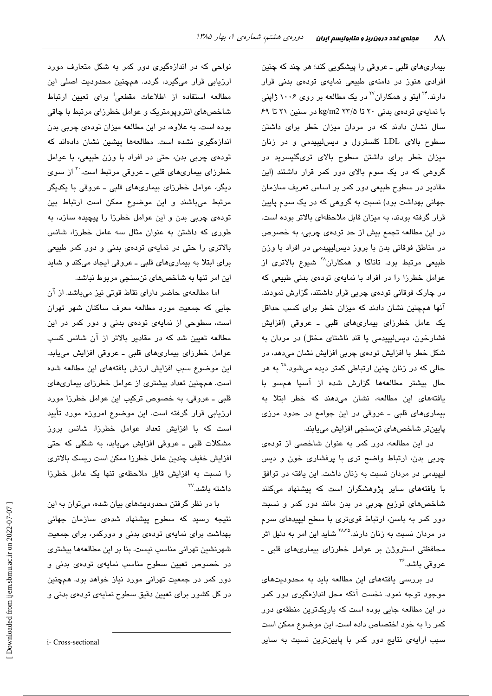بیماریهای قلبی ـ عروقی را پیشگویی کند؛ هر چند که چنین افرادی هنوز در دامنهی طبیعی نمایهی تودهی بدنی قرار دارند.<sup>۲۴</sup> ایتو و همکاران<sup>۲۷</sup> در یک مطالعه بر روی ۱۰۰۶ ژاپنی با نمایهی تودهی بدنی ۲۰ تا kg/m2 ۲۳/۵ در سنین ۲۱ تا ۶۹ سال نشان دادند که در مردان میزان خطر برای داشتن سطوح بالای LDL کلسترول و دیس لیپیدمی و در زنان میزان خطر برای داشتن سطوح بالای تریگلیسرید در گروهی که در یک سوم بالای دور کمر قرار داشتند (این مقادیر در سطوح طبیعی دور کمر بر اساس تعریف سازمان جهانی بهداشت بود) نسبت به گروهی که در یک سوم پایین قرار گرفته بودند، به میزان قابل ملاحظهای بالاتر بوده است. در این مطالعه تجمع بیش از حد تودهی چربی، به خصوص در مناطق فوقانی بدن با بروز دیسلیپیدمی در افراد با وزن طبیعی مرتبط بود. تاناکا و همکاران<sup>۲۸</sup> شیوع بالاتری از عوامل خطرزا را در افراد با نمایهی تودهی بدنی طبیعی که در چارک فوقانی تودهی چربی قرار داشتند، گزارش نمودند. آنها همچنین نشان دادند که میزان خطر برای کسب حداقل یک عامل خطرزای بیماریهای قلبی ـ عروقی (افزایش فشارخون، ديس ليپيدمى يا قند ناشتاى مختل) در مردان به شکل خطر با افزایش تودهی چربی افزایش نشان میدهد، در حالی که در زنان چنین ارتباطی کمتر دیده میشود.<sup>۲۸</sup> به هر حال بیشتر مطالعهها گزارش شده از آسیا همسو با یافتههای این مطالعه، نشان میدهند که خطر ابتلا به بیماریهای قلبی ـ عروقی در این جوامع در حدود مرزی پايينتر شاخصهای تنسنجی افزايش میپابند.

در این مطالعه، دور کمر به عنوان شاخصی از تودهی چربی بدن، ارتباط واضح تری با پرفشاری خون و دیس لیپیدمی در مردان نسبت به زنان داشت. این یافته در توافق با یافتههای سایر پژوهشگران است که پیشنهاد میکنند شاخصهای توزیع چربی در بدن مانند دور کمر و نسبت دور کمر به باسن، ارتباط قویتری با سطح لیپیدهای سرم در مردان نسبت به زنان دارند.<sup>۲۸،۳۵</sup> شاید این امر به دلیل اثر محافظتی استروژن بر عوامل خطرزای بیماریهای قلبی ـ عروقی باشد.<sup>۳۶</sup>

در بررسی یافتههای این مطالعه باید به محدودیتهای موجود توجه نمود. نخست آنکه محل اندازهگیری دور کمر در این مطالعه جایی بوده است که باریکترین منطقهی دور كمر را به خود اختصاص داده است. اين موضوع ممكن است سبب ارایهی نتایج دور کمر با پایینترین نسبت به سایر

نواحی که در اندازهگیری دور کمر به شکل م<mark>تعا</mark>رف مورد ارزیابی قرار میگیرد، گردد. همچنین محدودیت اصلی این مطالعه استفاده از اطلاعات مقطعی<sup>:</sup> برای تعیین ارتباط شاخصهای انتروپومتریک و عوامل خطرزای مرتبط با چاقی بوده است. به علاوه، در این مطالعه میزان تودهی چربی بدن اندازهگیری نشده است. مطالعهها پیشین نشان دادهاند که تودهی چربی بدن، حتی در افراد با وزن طبیعی، با عوامل خطرزای بیماریهای قلبی ـ عروقی مرتبط است. ب از سوی دیگر، عوامل خطرزای بیماریهای قلبی ـ عروقی با یکدیگر مرتبط میباشند و این موضوع ممکن است ارتباط بین تودهی چربی بدن و این عوامل خطرزا را پیچیده سازد، به طوری که داشتن به عنوان مثال سه عامل خطرزا، شانس بالاتری را حتی در نمایهی تودهی بدنی و دور کمر طبیعی برای ابتلا به بیماریهای قلبی ـ عروقی ایجاد میکند و شاید این امر تنها به شاخصهای تنسنجی مربوط نباشد.

اما مطالعهی حاضر دارای نقاط قوتی نیز میباشد. از آن جایی که جمعیت مورد مطالعه معرف ساکنان شهر تهران است، سطوحی از نمایهی تودهی بدنی و دور کمر در این مطالعه تعیین شد که در مقادیر بالاتر از آن شانس کسب عوامل خطرزای بیماریهای قلبی ـ عروقی افزایش مییابد. این موضوع سبب افزایش ارزش یافتههای این مطالعه شده است. همچنین تعداد بیشتری از عوامل خطرزای بیماریهای قلبی ـ عروقی، به خصوص ترکیب این عوامل خطرزا مورد ارزیابی قرار گرفته است. این موضوع امروزه مورد تأیید است که با افزایش تعداد عوامل خطرزا، شانس بروز مشکلات قلبی ـ عروقی افزایش میپابد، به شکلی که حتی افزایش خفیف چندین عامل خطرزا ممکن است ریسک بالاتری را نسبت به افزایش قابل ملاحظهی تنها یک عامل خطرزا  $^{\sf rv}$ داشته ىاشد.

با در نظر گرفتن محدودیتهای بیان شده، میتوان به این نتیجه رسید که سطوح پیشنهاد شدهی سازمان جهانی بهداشت برای نمایهی تودهی بدنی و دورکمر، برای جمعیت شهرنشین تهرانی مناسب نیست. بنا بر این مطالعهها بیشتری در خصوص تعیین سطوح مناسب نمایهی تودهی بدنی و دور کمر در جمعیت تهرانی مورد نیاز خواهد بود. همچنین در کل کشور برای تعیین دقیق سطوح نمایهی تودهی بدنی و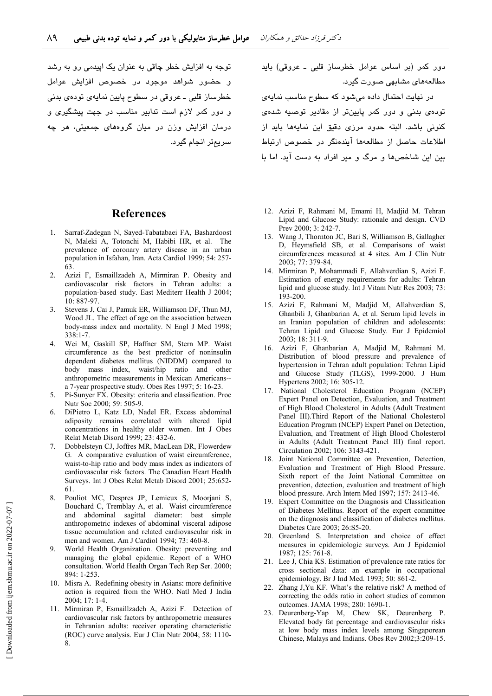توجه به افزایش خطر چاقی به عنوان یک ایبدمی رو به رشد و حضور شواهد موجود در خصوص افزایش عوامل خطرساز قلبي ــ عروقي در سطوح پايين نمايهي تودهي بدني و دور کمر لازم است تدابیر مناسب در جهت پیشگیری و درمان افزایش وزن در میان گروههای جمعیتی، هر چه سريمتر انجام گيرد. دور کمر (بر اساس عوامل خطرساز قلبی ـ عروقی) باید مطالعههای مشابهی صورت گیرد.

در نهایت احتمال داده می شود که سطوح مناسب نمایهی تودهی بدنی و دور کمر پایینتر از مقادیر توصیه شدهی كنونى باشد. البته حدود مرزى دقيق اين نمايهها بايد از اطلاعات حاصل از مطالعهها آیندهنگر در خصوص ارتباط بین این شاخصها و مرگ و میر افراد به دست آید. اما با

#### **References**

- Sarraf-Zadegan N. Saved-Tabatabaei FA. Bashardoost  $1 -$ N, Maleki A, Totonchi M, Habibi HR, et al. The prevalence of coronary artery disease in an urban population in Isfahan, Iran. Acta Cardiol 1999; 54: 257-63
- $2^{\circ}$ Azizi F, Esmaillzadeh A, Mirmiran P. Obesity and cardiovascular risk factors in Tehran adults: a population-based study. East Mediterr Health J 2004; 10: 887-97.
- Stevens J, Cai J, Pamuk ER, Williamson DF, Thun MJ,  $3<sub>1</sub>$ Wood JL. The effect of age on the association between body-mass index and mortality. N Engl J Med 1998;  $338 \cdot 1 - 7$
- Wei M, Gaskill SP, Haffner SM, Stern MP. Waist  $\overline{4}$ circumference as the best predictor of noninsulin dependent diabetes mellitus (NIDDM) compared to body mass index, waist/hip ratio and other anthropometric measurements in Mexican Americans-a 7-year prospective study. Obes Res 1997; 5: 16-23.
- Pi-Sunver FX. Obesity: criteria and classification. Proc  $\overline{5}$ Nutr Soc 2000; 59: 505-9.
- DiPietro L, Katz LD, Nadel ER. Excess abdominal 6. adiposity remains correlated with altered lipid concentrations in healthy older women. Int J Obes Relat Metab Disord 1999; 23: 432-6.
- Dobbelsteyn CJ, Joffres MR, MacLean DR, Flowerdew  $7<sup>7</sup>$ G. A comparative evaluation of waist circumference, waist-to-hip ratio and body mass index as indicators of cardiovascular risk factors. The Canadian Heart Health Surveys. Int J Obes Relat Metab Disord 2001; 25:652-61
- $\mathbf{R}$ Pouliot MC, Despres JP, Lemieux S, Moorjani S, Bouchard C, Tremblay A, et al. Waist circumference and abdominal sagittal diameter: best simple anthropometric indexes of abdominal visceral adipose tissue accumulation and related cardiovascular risk in men and women. Am J Cardiol 1994; 73: 460-8.
- $\mathbf{Q}$ World Health Organization. Obesity: preventing and managing the global epidemic. Report of a WHO consultation. World Health Organ Tech Rep Ser. 2000; 894: 1-253.
- 10. Misra A. Redefining obesity in Asians: more definitive action is required from the WHO. Natl Med J India  $2004:17:1-4$ .
- 11. Mirmiran P, Esmaillzadeh A, Azizi F. Detection of cardiovascular risk factors by anthropometric measures in Tehranian adults: receiver operating characteristic (ROC) curve analysis. Eur J Clin Nutr 2004; 58: 1110- $\mathbf{R}$
- 12. Azizi F, Rahmani M, Emami H, Madjid M. Tehran Lipid and Glucose Study: rationale and design. CVD Prev 2000; 3: 242-7.
- 13. Wang J, Thornton JC, Bari S, Williamson B, Gallagher D, Heymsfield SB, et al. Comparisons of waist circumferences measured at 4 sites. Am J Clin Nutr 2003: 77: 379-84.
- 14. Mirmiran P, Mohammadi F, Allahverdian S, Azizi F. Estimation of energy requirements for adults: Tehran lipid and glucose study. Int J Vitam Nutr Res 2003; 73: 193-200.
- 15. Azizi F, Rahmani M, Madjid M, Allahverdian S, Ghanbili J. Ghanbarian A, et al. Serum lipid levels in an Iranian population of children and adolescents: Tehran Lipid and Glucose Study. Eur J Epidemiol 2003; 18: 311-9.
- 16. Azizi F, Ghanbarian A, Madjid M, Rahmani M. Distribution of blood pressure and prevalence of hypertension in Tehran adult population: Tehran Lipid and Glucose Study (TLGS), 1999-2000. J Hum Hypertens 2002; 16: 305-12.
- 17. National Cholesterol Education Program (NCEP) Expert Panel on Detection, Evaluation, and Treatment of High Blood Cholesterol in Adults (Adult Treatment Panel III). Third Report of the National Cholesterol Education Program (NCEP) Expert Panel on Detection, Evaluation, and Treatment of High Blood Cholesterol in Adults (Adult Treatment Panel III) final report. Circulation 2002; 106: 3143-421.
- 18. Joint National Committee on Prevention, Detection, Evaluation and Treatment of High Blood Pressure. Sixth report of the Joint National Committee on prevention, detection, evaluation and treatment of high blood pressure. Arch Intern Med 1997; 157: 2413-46.
- 19. Expert Committee on the Diagnosis and Classification of Diabetes Mellitus. Report of the expert committee on the diagnosis and classification of diabetes mellitus. Diabetes Care 2003; 26:S5-20.
- 20. Greenland S. Interpretation and choice of effect measures in epidemiologic surveys. Am J Epidemiol 1987; 125: 761-8.
- 21. Lee J, Chia KS. Estimation of prevalence rate ratios for cross sectional data: an example in occupational epidemiology. Br J Ind Med. 1993; 50: 861-2.
- 22. Zhang J, Yu KF. What's the relative risk? A method of correcting the odds ratio in cohort studies of common outcomes. JAMA 1998; 280: 1690-1.
- 23. Deurenberg-Yap M, Chew SK, Deurenberg P. Elevated body fat percentage and cardiovascular risks at low body mass index levels among Singaporean Chinese, Malays and Indians. Obes Rev 2002;3:209-15.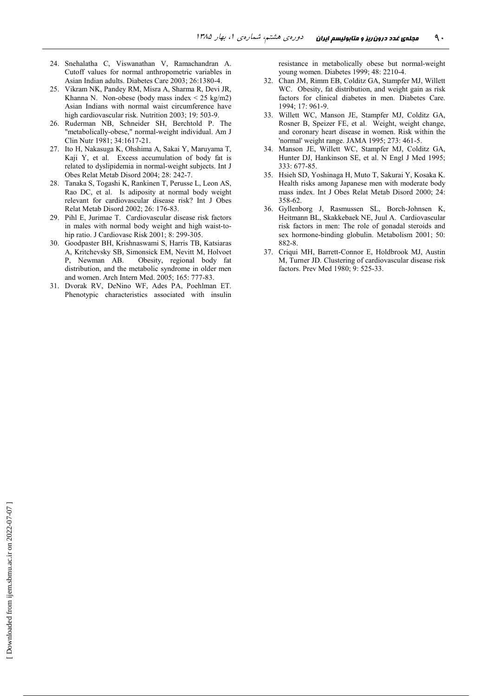- 24. Snehalatha C, Viswanathan V, Ramachandran A. Cutoff values for normal anthropometric variables in Asian Indian adults. Diabetes Care 2003; 26:1380-4.
- 25. Vikram NK, Pandey RM, Misra A, Sharma R, Devi JR, Khanna N. Non-obese (body mass index  $\leq$  25 kg/m2) Asian Indians with normal waist circumference have high cardiovascular risk. Nutrition 2003; 19: 503-9.
- 26. Ruderman NB, Schneider SH, Berchtold P. The "metabolically-obese," normal-weight individual. Am J Clin Nutr 1981; 34:1617-21.
- 27. Ito H, Nakasuga K, Ohshima A, Sakai Y, Maruyama T, Kaji Y, et al. Excess accumulation of body fat is related to dyslipidemia in normal-weight subjects. Int J Obes Relat Metab Disord 2004; 28: 242-7.
- 28. Tanaka S, Togashi K, Rankinen T, Perusse L, Leon AS, Rao DC, et al. Is adiposity at normal body weight relevant for cardiovascular disease risk? Int J Obes Relat Metab Disord 2002; 26: 176-83.
- 29. Pihl E, Jurimae T. Cardiovascular disease risk factors in males with normal body weight and high waist-tohip ratio. J Cardiovasc Risk 2001; 8: 299-305.
- 30. Goodpaster BH, Krishnaswami S, Harris TB, Katsiaras A, Kritchevsky SB, Simonsick EM, Nevitt M, Holvoet P, Newman AB. ty, regional body fat distribution, and the metabolic syndrome in older men and women. Arch Intern Med. 2005; 165: 777-83.
- 31. Dvorak RV, DeNino WF, Ades PA, Poehlman ET. Phenotypic characteristics associated with insulin

resistance in metabolically obese but normal-weight young women. Diabetes 1999; 48: 2210-4.

- 32. Chan JM, Rimm EB, Colditz GA, Stampfer MJ, Willett WC. Obesity, fat distribution, and weight gain as risk factors for clinical diabetes in men. Diabetes Care. 1994; 17: 961-9.
- 33. Willett WC, Manson JE, Stampfer MJ, Colditz GA, Rosner B, Speizer FE, et al. Weight, weight change, and coronary heart disease in women. Risk within the 'normal' weight range. JAMA 1995;  $273:461-5$ .
- 34. Manson JE, Willett WC, Stampfer MJ, Colditz GA, Hunter DJ, Hankinson SE, et al. N Engl J Med 1995; 333: 677-85.
- 35. Hsieh SD, Yoshinaga H, Muto T, Sakurai Y, Kosaka K. Health risks among Japanese men with moderate body mass index. Int J Obes Relat Metab Disord 2000; 24: 358-62
- 36. Gyllenborg J, Rasmussen SL, Borch-Johnsen K, Heitmann BL, Skakkebaek NE, Juul A. Cardiovascular risk factors in men: The role of gonadal steroids and sex hormone-binding globulin. Metabolism 2001; 50: 882-8
- 37. Criqui MH, Barrett-Connor E, Holdbrook MJ, Austin M, Turner JD. Clustering of cardiovascular disease risk factors. Prev Med 1980; 9: 525-33.